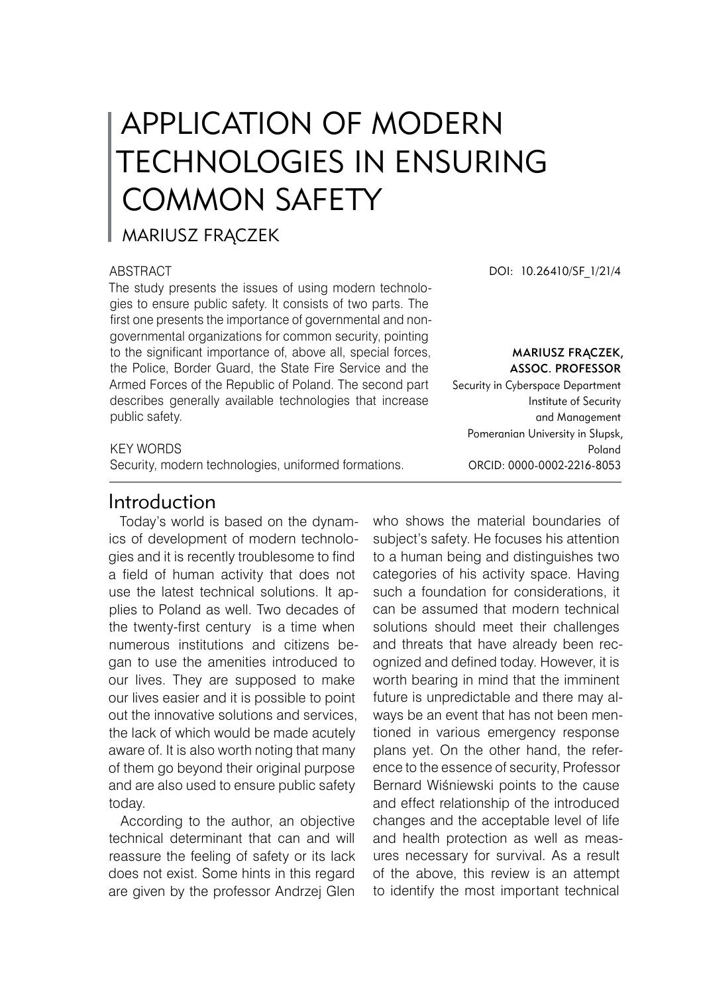# APPLICATION OF MODERN TECHNOLOGIES IN ENSURING COMMON SAFETY

## MARIUSZ FRĄCZEK

### **ABSTRACT**

The study presents the issues of using modern technologies to ensure public safety. It consists of two parts. The first one presents the importance of governmental and nongovernmental organizations for common security, pointing to the significant importance of, above all, special forces, the Police, Border Guard, the State Fire Service and the Armed Forces of the Republic of Poland. The second part describes generally available technologies that increase public safety.

### KEY WORDS

Security, modern technologies, uniformed formations.

## Introduction

Today's world is based on the dynamics of development of modern technologies and it is recently troublesome to find a field of human activity that does not use the latest technical solutions. It applies to Poland as well. Two decades of the twenty-first century is a time when numerous institutions and citizens began to use the amenities introduced to our lives. They are supposed to make our lives easier and it is possible to point out the innovative solutions and services, the lack of which would be made acutely aware of. It is also worth noting that many of them go beyond their original purpose and are also used to ensure public safety today.

According to the author, an objective technical determinant that can and will reassure the feeling of safety or its lack does not exist. Some hints in this regard are given by the professor Andrzej Glen

DOI: 10.26410/SF\_1/21/4

Mariusz Frączek, Assoc. Professor

Security in Cyberspace Department Institute of Security and Management Pomeranian University in Słupsk, Poland ORCID: 0000-0002-2216-8053

who shows the material boundaries of subject's safety. He focuses his attention to a human being and distinguishes two categories of his activity space. Having such a foundation for considerations, it can be assumed that modern technical solutions should meet their challenges and threats that have already been recognized and defined today. However, it is worth bearing in mind that the imminent future is unpredictable and there may always be an event that has not been mentioned in various emergency response plans yet. On the other hand, the reference to the essence of security, Professor Bernard Wiśniewski points to the cause and effect relationship of the introduced changes and the acceptable level of life and health protection as well as measures necessary for survival. As a result of the above, this review is an attempt to identify the most important technical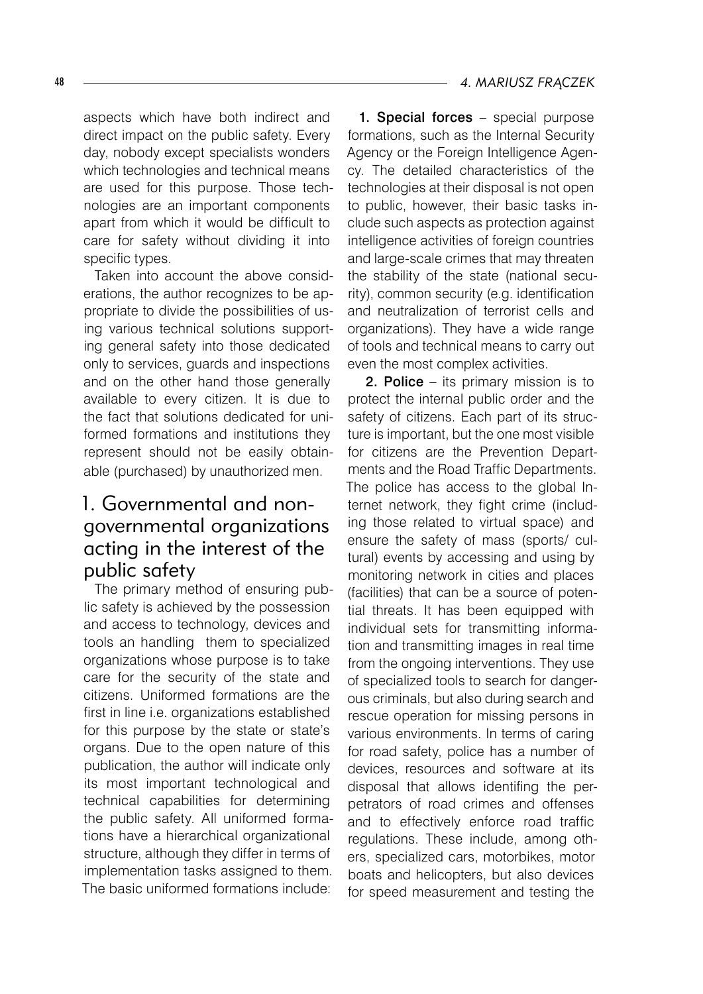aspects which have both indirect and direct impact on the public safety. Every day, nobody except specialists wonders which technologies and technical means are used for this purpose. Those technologies are an important components apart from which it would be difficult to care for safety without dividing it into specific types.

Taken into account the above considerations, the author recognizes to be appropriate to divide the possibilities of using various technical solutions supporting general safety into those dedicated only to services, guards and inspections and on the other hand those generally available to every citizen. It is due to the fact that solutions dedicated for uniformed formations and institutions they represent should not be easily obtainable (purchased) by unauthorized men.

# 1. Governmental and nongovernmental organizations acting in the interest of the public safety

The primary method of ensuring public safety is achieved by the possession and access to technology, devices and tools an handling them to specialized organizations whose purpose is to take care for the security of the state and citizens. Uniformed formations are the first in line i.e. organizations established for this purpose by the state or state's organs. Due to the open nature of this publication, the author will indicate only its most important technological and technical capabilities for determining the public safety. All uniformed formations have a hierarchical organizational structure, although they differ in terms of implementation tasks assigned to them. The basic uniformed formations include:

1. Special forces – special purpose formations, such as the Internal Security Agency or the Foreign Intelligence Agency. The detailed characteristics of the technologies at their disposal is not open to public, however, their basic tasks include such aspects as protection against intelligence activities of foreign countries and large-scale crimes that may threaten the stability of the state (national security), common security (e.g. identification and neutralization of terrorist cells and organizations). They have a wide range of tools and technical means to carry out even the most complex activities.

 2. Police – its primary mission is to protect the internal public order and the safety of citizens. Each part of its structure is important, but the one most visible for citizens are the Prevention Departments and the Road Traffic Departments. The police has access to the global Internet network, they fight crime (including those related to virtual space) and ensure the safety of mass (sports/ cultural) events by accessing and using by monitoring network in cities and places (facilities) that can be a source of potential threats. It has been equipped with individual sets for transmitting information and transmitting images in real time from the ongoing interventions. They use of specialized tools to search for dangerous criminals, but also during search and rescue operation for missing persons in various environments. In terms of caring for road safety, police has a number of devices, resources and software at its disposal that allows identifing the perpetrators of road crimes and offenses and to effectively enforce road traffic regulations. These include, among others, specialized cars, motorbikes, motor boats and helicopters, but also devices for speed measurement and testing the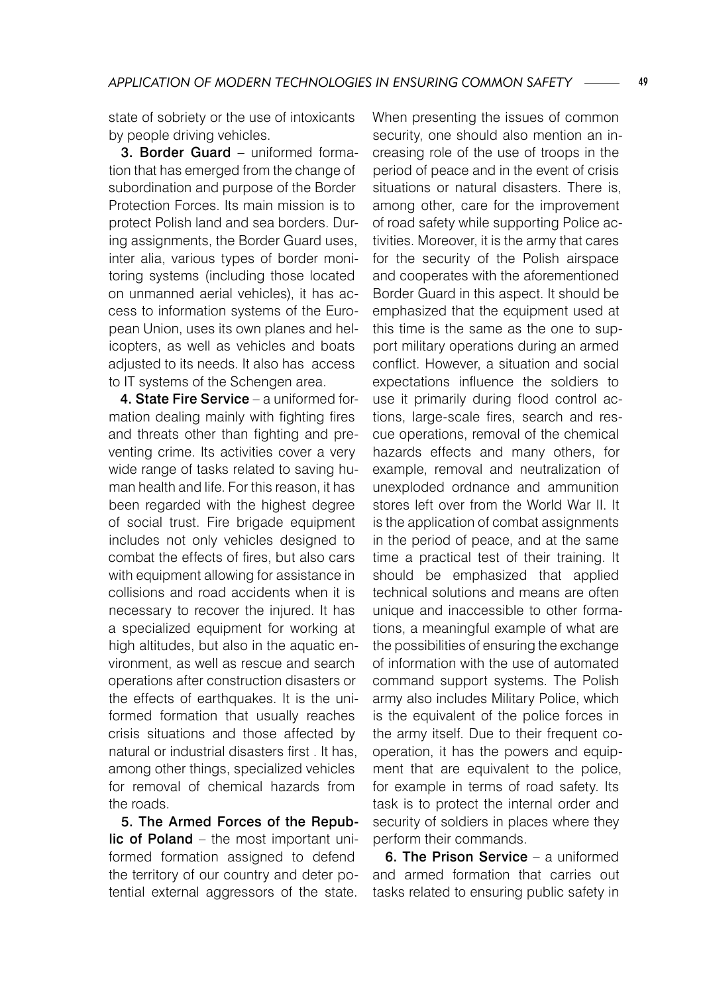state of sobriety or the use of intoxicants by people driving vehicles.

3. Border Guard – uniformed formation that has emerged from the change of subordination and purpose of the Border Protection Forces. Its main mission is to protect Polish land and sea borders. During assignments, the Border Guard uses, inter alia, various types of border monitoring systems (including those located on unmanned aerial vehicles), it has access to information systems of the European Union, uses its own planes and helicopters, as well as vehicles and boats adjusted to its needs. It also has access to IT systems of the Schengen area.

4. State Fire Service – a uniformed formation dealing mainly with fighting fires and threats other than fighting and preventing crime. Its activities cover a very wide range of tasks related to saving human health and life. For this reason, it has been regarded with the highest degree of social trust. Fire brigade equipment includes not only vehicles designed to combat the effects of fires, but also cars with equipment allowing for assistance in collisions and road accidents when it is necessary to recover the injured. It has a specialized equipment for working at high altitudes, but also in the aquatic environment, as well as rescue and search operations after construction disasters or the effects of earthquakes. It is the uniformed formation that usually reaches crisis situations and those affected by natural or industrial disasters first . It has, among other things, specialized vehicles for removal of chemical hazards from the roads.

5. The Armed Forces of the Republic of Poland – the most important uniformed formation assigned to defend the territory of our country and deter potential external aggressors of the state.

When presenting the issues of common security, one should also mention an increasing role of the use of troops in the period of peace and in the event of crisis situations or natural disasters. There is, among other, care for the improvement of road safety while supporting Police activities. Moreover, it is the army that cares for the security of the Polish airspace and cooperates with the aforementioned Border Guard in this aspect. It should be emphasized that the equipment used at this time is the same as the one to support military operations during an armed conflict. However, a situation and social expectations influence the soldiers to use it primarily during flood control actions, large-scale fires, search and rescue operations, removal of the chemical hazards effects and many others, for example, removal and neutralization of unexploded ordnance and ammunition stores left over from the World War II. It is the application of combat assignments in the period of peace, and at the same time a practical test of their training. It should be emphasized that applied technical solutions and means are often unique and inaccessible to other formations, a meaningful example of what are the possibilities of ensuring the exchange of information with the use of automated command support systems. The Polish army also includes Military Police, which is the equivalent of the police forces in the army itself. Due to their frequent cooperation, it has the powers and equipment that are equivalent to the police, for example in terms of road safety. Its task is to protect the internal order and security of soldiers in places where they perform their commands.

6. The Prison Service – a uniformed and armed formation that carries out tasks related to ensuring public safety in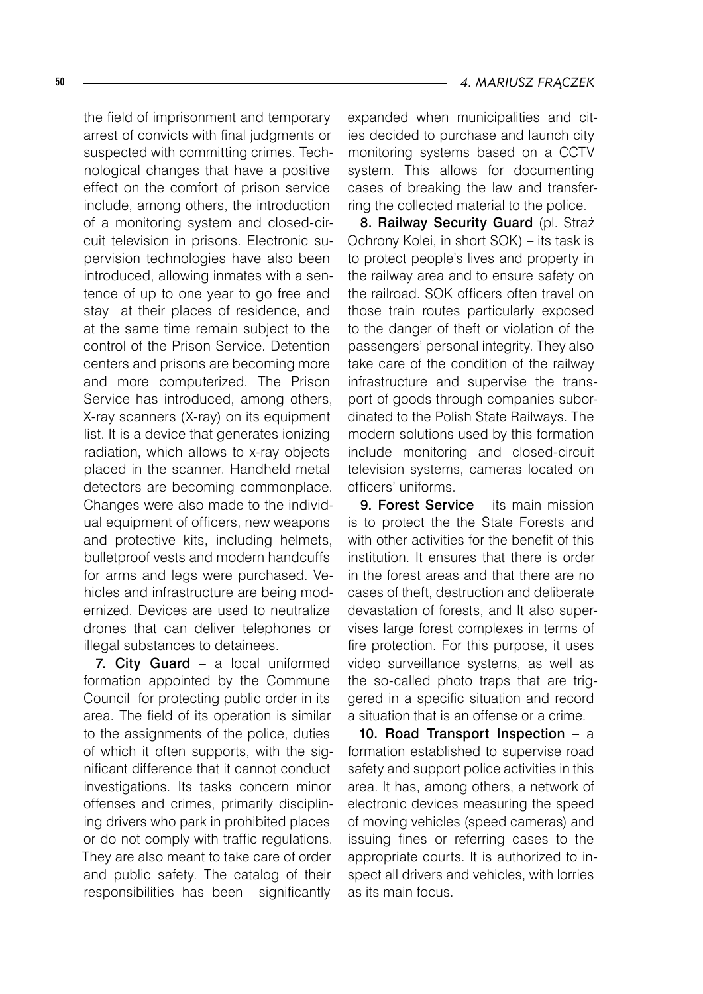the field of imprisonment and temporary arrest of convicts with final judgments or suspected with committing crimes. Technological changes that have a positive effect on the comfort of prison service include, among others, the introduction of a monitoring system and closed-circuit television in prisons. Electronic supervision technologies have also been introduced, allowing inmates with a sentence of up to one year to go free and stay at their places of residence, and at the same time remain subject to the control of the Prison Service. Detention centers and prisons are becoming more and more computerized. The Prison Service has introduced, among others, X-ray scanners (X-ray) on its equipment list. It is a device that generates ionizing radiation, which allows to x-ray objects placed in the scanner. Handheld metal detectors are becoming commonplace. Changes were also made to the individual equipment of officers, new weapons and protective kits, including helmets, bulletproof vests and modern handcuffs for arms and legs were purchased. Vehicles and infrastructure are being modernized. Devices are used to neutralize drones that can deliver telephones or illegal substances to detainees.

7. City Guard – a local uniformed formation appointed by the Commune Council for protecting public order in its area. The field of its operation is similar to the assignments of the police, duties of which it often supports, with the significant difference that it cannot conduct investigations. Its tasks concern minor offenses and crimes, primarily disciplining drivers who park in prohibited places or do not comply with traffic regulations. They are also meant to take care of order and public safety. The catalog of their responsibilities has been significantly

expanded when municipalities and cities decided to purchase and launch city monitoring systems based on a CCTV system. This allows for documenting cases of breaking the law and transferring the collected material to the police.

8. Railway Security Guard (pl. Straż Ochrony Kolei, in short SOK) – its task is to protect people's lives and property in the railway area and to ensure safety on the railroad. SOK officers often travel on those train routes particularly exposed to the danger of theft or violation of the passengers' personal integrity. They also take care of the condition of the railway infrastructure and supervise the transport of goods through companies subordinated to the Polish State Railways. The modern solutions used by this formation include monitoring and closed-circuit television systems, cameras located on officers' uniforms.

9. Forest Service – its main mission is to protect the the State Forests and with other activities for the benefit of this institution. It ensures that there is order in the forest areas and that there are no cases of theft, destruction and deliberate devastation of forests, and It also supervises large forest complexes in terms of fire protection. For this purpose, it uses video surveillance systems, as well as the so-called photo traps that are triggered in a specific situation and record a situation that is an offense or a crime.

10. Road Transport Inspection – a formation established to supervise road safety and support police activities in this area. It has, among others, a network of electronic devices measuring the speed of moving vehicles (speed cameras) and issuing fines or referring cases to the appropriate courts. It is authorized to inspect all drivers and vehicles, with lorries as its main focus.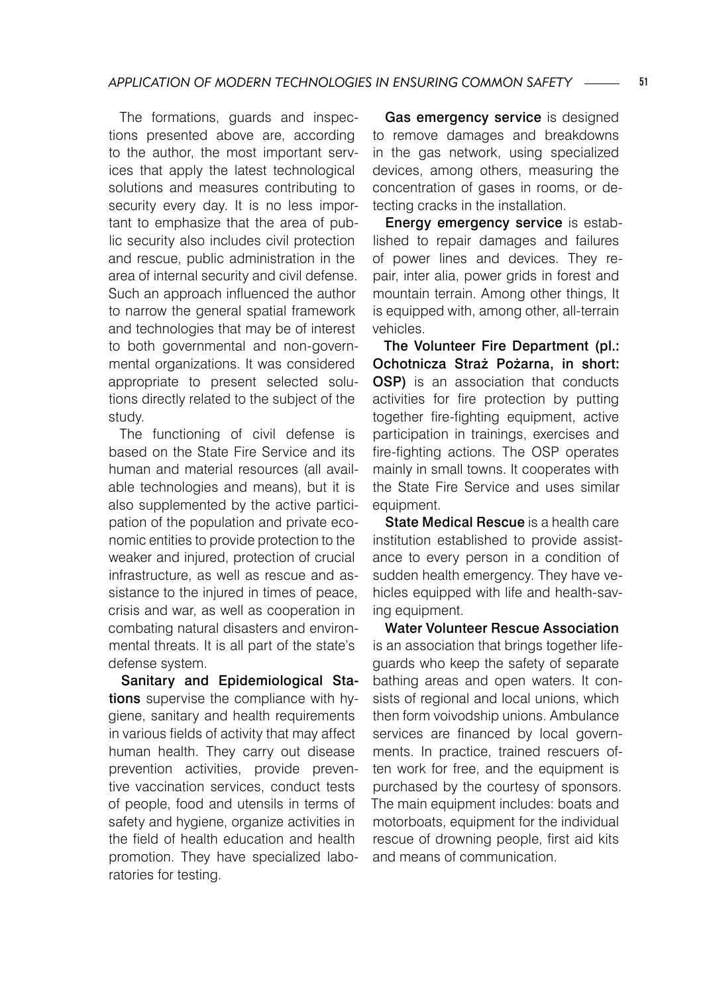The formations, guards and inspections presented above are, according to the author, the most important services that apply the latest technological solutions and measures contributing to security every day. It is no less important to emphasize that the area of public security also includes civil protection and rescue, public administration in the area of internal security and civil defense. Such an approach influenced the author to narrow the general spatial framework and technologies that may be of interest to both governmental and non-governmental organizations. It was considered appropriate to present selected solutions directly related to the subject of the study.

The functioning of civil defense is based on the State Fire Service and its human and material resources (all available technologies and means), but it is also supplemented by the active participation of the population and private economic entities to provide protection to the weaker and injured, protection of crucial infrastructure, as well as rescue and assistance to the injured in times of peace, crisis and war, as well as cooperation in combating natural disasters and environmental threats. It is all part of the state's defense system.

Sanitary and Epidemiological Stations supervise the compliance with hygiene, sanitary and health requirements in various fields of activity that may affect human health. They carry out disease prevention activities, provide preventive vaccination services, conduct tests of people, food and utensils in terms of safety and hygiene, organize activities in the field of health education and health promotion. They have specialized laboratories for testing.

Gas emergency service is designed to remove damages and breakdowns in the gas network, using specialized devices, among others, measuring the concentration of gases in rooms, or detecting cracks in the installation.

Energy emergency service is established to repair damages and failures of power lines and devices. They repair, inter alia, power grids in forest and mountain terrain. Among other things, It is equipped with, among other, all-terrain vehicles.

The Volunteer Fire Department (pl.: Ochotnicza Straż Pożarna, in short: OSP) is an association that conducts activities for fire protection by putting together fire-fighting equipment, active participation in trainings, exercises and fire-fighting actions. The OSP operates mainly in small towns. It cooperates with the State Fire Service and uses similar equipment.

State Medical Rescue is a health care institution established to provide assistance to every person in a condition of sudden health emergency. They have vehicles equipped with life and health-saving equipment.

Water Volunteer Rescue Association is an association that brings together lifeguards who keep the safety of separate bathing areas and open waters. It consists of regional and local unions, which then form voivodship unions. Ambulance services are financed by local governments. In practice, trained rescuers often work for free, and the equipment is purchased by the courtesy of sponsors. The main equipment includes: boats and motorboats, equipment for the individual rescue of drowning people, first aid kits and means of communication.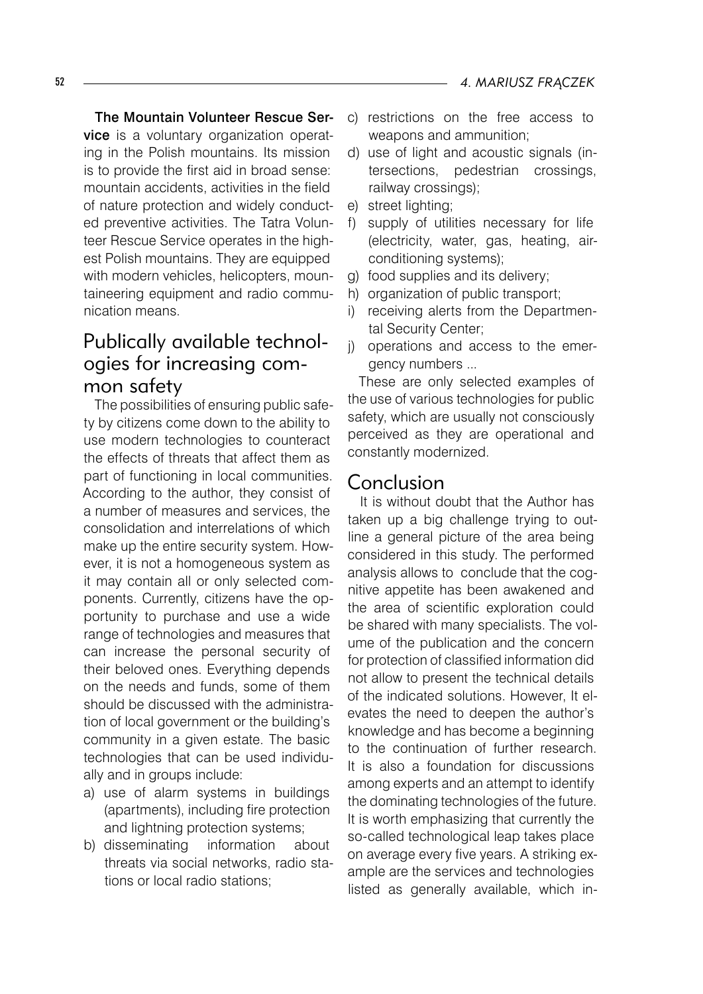The Mountain Volunteer Rescue Service is a voluntary organization operating in the Polish mountains. Its mission is to provide the first aid in broad sense: mountain accidents, activities in the field of nature protection and widely conducted preventive activities. The Tatra Volunteer Rescue Service operates in the highest Polish mountains. They are equipped with modern vehicles, helicopters, mountaineering equipment and radio communication means.

# Publically available technologies for increasing common safety

The possibilities of ensuring public safety by citizens come down to the ability to use modern technologies to counteract the effects of threats that affect them as part of functioning in local communities. According to the author, they consist of a number of measures and services, the consolidation and interrelations of which make up the entire security system. However, it is not a homogeneous system as it may contain all or only selected components. Currently, citizens have the opportunity to purchase and use a wide range of technologies and measures that can increase the personal security of their beloved ones. Everything depends on the needs and funds, some of them should be discussed with the administration of local government or the building's community in a given estate. The basic technologies that can be used individually and in groups include:

- a) use of alarm systems in buildings (apartments), including fire protection and lightning protection systems;
- b) disseminating information about threats via social networks, radio stations or local radio stations;
- c) restrictions on the free access to weapons and ammunition;
- d) use of light and acoustic signals (intersections, pedestrian crossings, railway crossings);
- e) street lighting;
- f) supply of utilities necessary for life (electricity, water, gas, heating, airconditioning systems);
- g) food supplies and its delivery;
- h) organization of public transport;
- i) receiving alerts from the Departmental Security Center;
- j) operations and access to the emergency numbers ...

These are only selected examples of the use of various technologies for public safety, which are usually not consciously perceived as they are operational and constantly modernized.

## Conclusion

It is without doubt that the Author has taken up a big challenge trying to outline a general picture of the area being considered in this study. The performed analysis allows to conclude that the cognitive appetite has been awakened and the area of scientific exploration could be shared with many specialists. The volume of the publication and the concern for protection of classified information did not allow to present the technical details of the indicated solutions. However, It elevates the need to deepen the author's knowledge and has become a beginning to the continuation of further research. It is also a foundation for discussions among experts and an attempt to identify the dominating technologies of the future. It is worth emphasizing that currently the so-called technological leap takes place on average every five years. A striking example are the services and technologies listed as generally available, which in